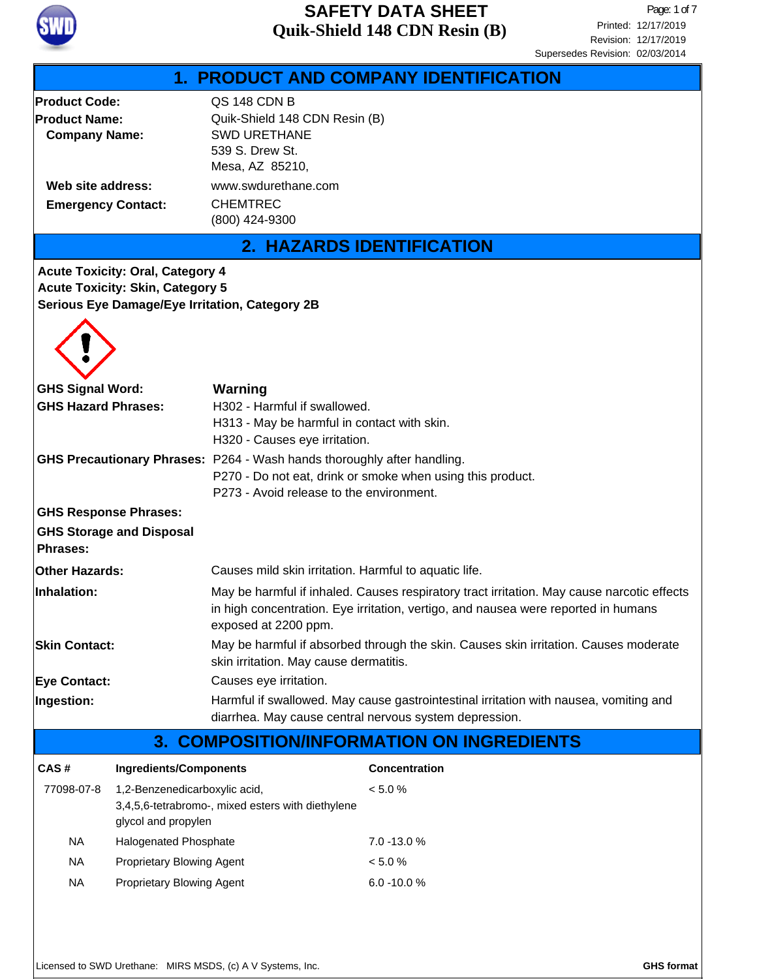

|                                                  |                                                                                    |                                                                                                                                                 |                                       | Supersedes Revision: 02/03/2014 |  |
|--------------------------------------------------|------------------------------------------------------------------------------------|-------------------------------------------------------------------------------------------------------------------------------------------------|---------------------------------------|---------------------------------|--|
|                                                  |                                                                                    |                                                                                                                                                 | 1. PRODUCT AND COMPANY IDENTIFICATION |                                 |  |
| <b>Product Code:</b>                             |                                                                                    | QS 148 CDN B                                                                                                                                    |                                       |                                 |  |
| <b>Product Name:</b>                             |                                                                                    | Quik-Shield 148 CDN Resin (B)<br><b>SWD URETHANE</b>                                                                                            |                                       |                                 |  |
| <b>Company Name:</b>                             |                                                                                    | 539 S. Drew St.                                                                                                                                 |                                       |                                 |  |
|                                                  |                                                                                    | Mesa, AZ 85210,                                                                                                                                 |                                       |                                 |  |
| Web site address:                                |                                                                                    | www.swdurethane.com                                                                                                                             |                                       |                                 |  |
| <b>Emergency Contact:</b>                        |                                                                                    | <b>CHEMTREC</b>                                                                                                                                 |                                       |                                 |  |
|                                                  |                                                                                    | (800) 424-9300                                                                                                                                  |                                       |                                 |  |
|                                                  |                                                                                    |                                                                                                                                                 | <b>2. HAZARDS IDENTIFICATION</b>      |                                 |  |
|                                                  | <b>Acute Toxicity: Oral, Category 4</b><br><b>Acute Toxicity: Skin, Category 5</b> |                                                                                                                                                 |                                       |                                 |  |
|                                                  |                                                                                    | Serious Eye Damage/Eye Irritation, Category 2B                                                                                                  |                                       |                                 |  |
|                                                  |                                                                                    |                                                                                                                                                 |                                       |                                 |  |
| <b>GHS Signal Word:</b>                          |                                                                                    | Warning                                                                                                                                         |                                       |                                 |  |
| <b>GHS Hazard Phrases:</b>                       |                                                                                    | H302 - Harmful if swallowed.                                                                                                                    |                                       |                                 |  |
|                                                  |                                                                                    | H313 - May be harmful in contact with skin.                                                                                                     |                                       |                                 |  |
|                                                  |                                                                                    | H320 - Causes eye irritation.                                                                                                                   |                                       |                                 |  |
|                                                  |                                                                                    | <b>GHS Precautionary Phrases:</b> P264 - Wash hands thoroughly after handling.                                                                  |                                       |                                 |  |
|                                                  |                                                                                    | P270 - Do not eat, drink or smoke when using this product.<br>P273 - Avoid release to the environment.                                          |                                       |                                 |  |
|                                                  |                                                                                    |                                                                                                                                                 |                                       |                                 |  |
| <b>GHS Response Phrases:</b>                     |                                                                                    |                                                                                                                                                 |                                       |                                 |  |
| Phrases:                                         | <b>GHS Storage and Disposal</b>                                                    |                                                                                                                                                 |                                       |                                 |  |
| <b>Other Hazards:</b>                            |                                                                                    | Causes mild skin irritation. Harmful to aquatic life.                                                                                           |                                       |                                 |  |
| Inhalation:                                      |                                                                                    | May be harmful if inhaled. Causes respiratory tract irritation. May cause narcotic effects                                                      |                                       |                                 |  |
|                                                  |                                                                                    | in high concentration. Eye irritation, vertigo, and nausea were reported in humans<br>exposed at 2200 ppm.                                      |                                       |                                 |  |
| <b>Skin Contact:</b>                             |                                                                                    | May be harmful if absorbed through the skin. Causes skin irritation. Causes moderate<br>skin irritation. May cause dermatitis.                  |                                       |                                 |  |
| <b>Eye Contact:</b>                              |                                                                                    | Causes eye irritation.                                                                                                                          |                                       |                                 |  |
| Ingestion:                                       |                                                                                    | Harmful if swallowed. May cause gastrointestinal irritation with nausea, vomiting and<br>diarrhea. May cause central nervous system depression. |                                       |                                 |  |
| <b>3. COMPOSITION/INFORMATION ON INGREDIENTS</b> |                                                                                    |                                                                                                                                                 |                                       |                                 |  |
| CAS#                                             | <b>Ingredients/Components</b>                                                      |                                                                                                                                                 | <b>Concentration</b>                  |                                 |  |
| 77098-07-8                                       | 1,2-Benzenedicarboxylic acid,                                                      |                                                                                                                                                 | < 5.0 %                               |                                 |  |
|                                                  | glycol and propylen                                                                | 3,4,5,6-tetrabromo-, mixed esters with diethylene                                                                                               |                                       |                                 |  |
| <b>NA</b>                                        | Halogenated Phosphate                                                              |                                                                                                                                                 | 7.0 -13.0 %                           |                                 |  |
| <b>NA</b>                                        | Proprietary Blowing Agent                                                          |                                                                                                                                                 | < 5.0 %                               |                                 |  |
| <b>NA</b>                                        | Proprietary Blowing Agent                                                          |                                                                                                                                                 | 6.0 -10.0%                            |                                 |  |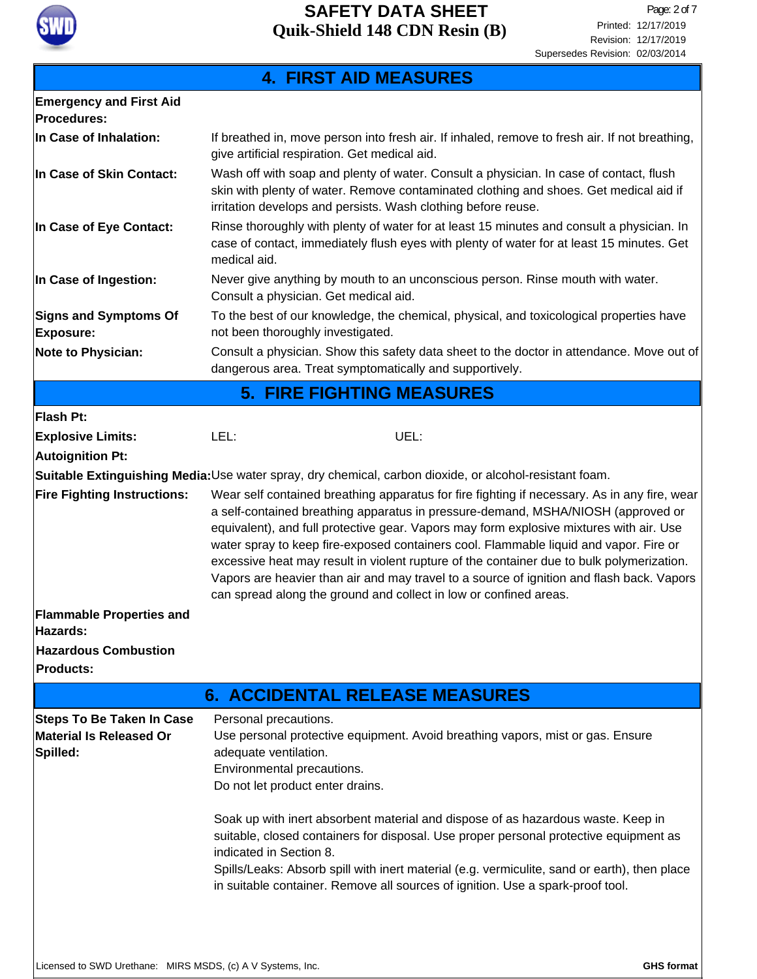

### **In Case of Inhalation: 4. FIRST AID MEASURES Emergency and First Aid Procedures:** Consult a physician. Show this safety data sheet to the doctor in attendance. Move out of dangerous area. Treat symptomatically and supportively. **Note to Physician:** To the best of our knowledge, the chemical, physical, and toxicological properties have not been thoroughly investigated. **Signs and Symptoms Of Exposure:** Rinse thoroughly with plenty of water for at least 15 minutes and consult a physician. In case of contact, immediately flush eyes with plenty of water for at least 15 minutes. Get medical aid. **In Case of Eye Contact:** Wash off with soap and plenty of water. Consult a physician. In case of contact, flush skin with plenty of water. Remove contaminated clothing and shoes. Get medical aid if irritation develops and persists. Wash clothing before reuse. **In Case of Skin Contact:** Never give anything by mouth to an unconscious person. Rinse mouth with water. Consult a physician. Get medical aid. **In Case of Ingestion:** If breathed in, move person into fresh air. If inhaled, remove to fresh air. If not breathing, give artificial respiration. Get medical aid. **5. FIRE FIGHTING MEASURES Flash Pt:** Wear self contained breathing apparatus for fire fighting if necessary. As in any fire, wear a self-contained breathing apparatus in pressure-demand, MSHA/NIOSH (approved or equivalent), and full protective gear. Vapors may form explosive mixtures with air. Use water spray to keep fire-exposed containers cool. Flammable liquid and vapor. Fire or excessive heat may result in violent rupture of the container due to bulk polymerization. Vapors are heavier than air and may travel to a source of ignition and flash back. Vapors can spread along the ground and collect in low or confined areas. **Fire Fighting Instructions: Flammable Properties and Hazards: Autoignition Pt: Explosive Limits:** LEL: UEL: **Suitable Extinguishing Media:**Use water spray, dry chemical, carbon dioxide, or alcohol-resistant foam. **Hazardous Combustion Products: 6. ACCIDENTAL RELEASE MEASURES** Personal precautions. Use personal protective equipment. Avoid breathing vapors, mist or gas. Ensure adequate ventilation. Environmental precautions. Do not let product enter drains. Soak up with inert absorbent material and dispose of as hazardous waste. Keep in suitable, closed containers for disposal. Use proper personal protective equipment as indicated in Section 8. Spills/Leaks: Absorb spill with inert material (e.g. vermiculite, sand or earth), then place in suitable container. Remove all sources of ignition. Use a spark-proof tool. **Steps To Be Taken In Case Material Is Released Or Spilled:**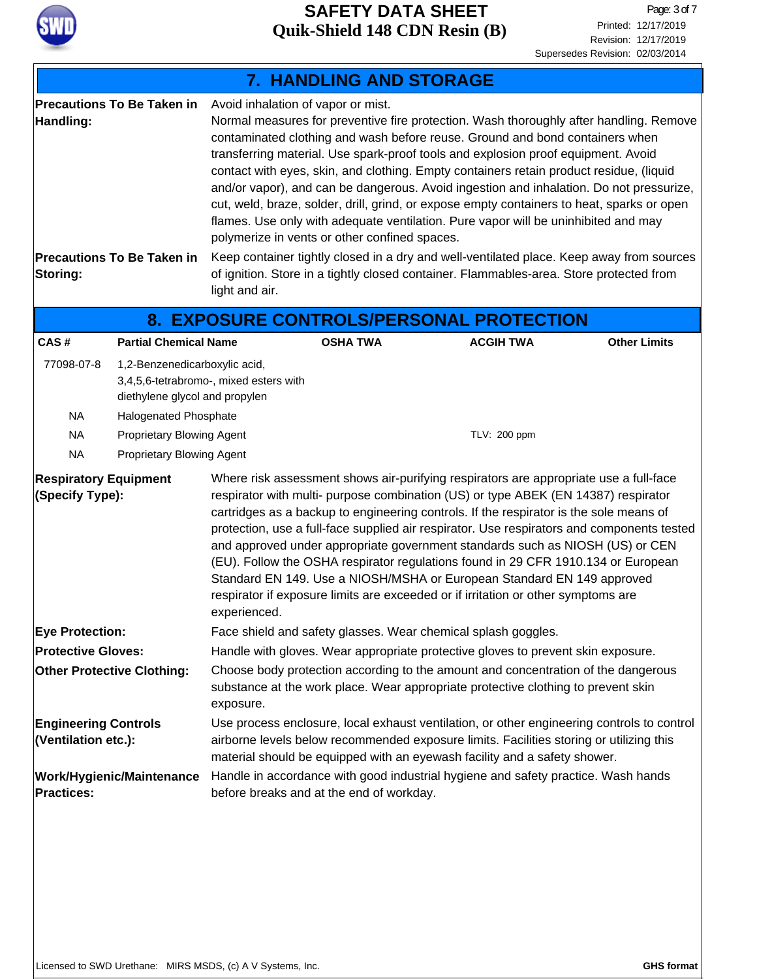

|                                                                |                                                                                                                                                                                              |                                                                                                                                                                                                                                                                         | 7. HANDLING AND STORAGE                                                             |                                                                                                                                                                                                                                                                                                                                                                                                                                                                                                                                                                                                                                                                                                                                                                                                                              |                     |  |
|----------------------------------------------------------------|----------------------------------------------------------------------------------------------------------------------------------------------------------------------------------------------|-------------------------------------------------------------------------------------------------------------------------------------------------------------------------------------------------------------------------------------------------------------------------|-------------------------------------------------------------------------------------|------------------------------------------------------------------------------------------------------------------------------------------------------------------------------------------------------------------------------------------------------------------------------------------------------------------------------------------------------------------------------------------------------------------------------------------------------------------------------------------------------------------------------------------------------------------------------------------------------------------------------------------------------------------------------------------------------------------------------------------------------------------------------------------------------------------------------|---------------------|--|
| Handling:<br>Storing:                                          | <b>Precautions To Be Taken in</b><br><b>Precautions To Be Taken in</b>                                                                                                                       | light and air.                                                                                                                                                                                                                                                          | Avoid inhalation of vapor or mist.<br>polymerize in vents or other confined spaces. | Normal measures for preventive fire protection. Wash thoroughly after handling. Remove<br>contaminated clothing and wash before reuse. Ground and bond containers when<br>transferring material. Use spark-proof tools and explosion proof equipment. Avoid<br>contact with eyes, skin, and clothing. Empty containers retain product residue, (liquid<br>and/or vapor), and can be dangerous. Avoid ingestion and inhalation. Do not pressurize,<br>cut, weld, braze, solder, drill, grind, or expose empty containers to heat, sparks or open<br>flames. Use only with adequate ventilation. Pure vapor will be uninhibited and may<br>Keep container tightly closed in a dry and well-ventilated place. Keep away from sources<br>of ignition. Store in a tightly closed container. Flammables-area. Store protected from |                     |  |
|                                                                |                                                                                                                                                                                              |                                                                                                                                                                                                                                                                         |                                                                                     | 8. EXPOSURE CONTROLS/PERSONAL PROTECTION                                                                                                                                                                                                                                                                                                                                                                                                                                                                                                                                                                                                                                                                                                                                                                                     |                     |  |
| CAS#                                                           | <b>Partial Chemical Name</b>                                                                                                                                                                 |                                                                                                                                                                                                                                                                         | <b>OSHA TWA</b>                                                                     | <b>ACGIH TWA</b>                                                                                                                                                                                                                                                                                                                                                                                                                                                                                                                                                                                                                                                                                                                                                                                                             | <b>Other Limits</b> |  |
| 77098-07-8<br><b>NA</b><br><b>NA</b><br><b>NA</b>              | 1,2-Benzenedicarboxylic acid,<br>3,4,5,6-tetrabromo-, mixed esters with<br>diethylene glycol and propylen<br>Halogenated Phosphate<br>Proprietary Blowing Agent<br>Proprietary Blowing Agent |                                                                                                                                                                                                                                                                         |                                                                                     | TLV: 200 ppm                                                                                                                                                                                                                                                                                                                                                                                                                                                                                                                                                                                                                                                                                                                                                                                                                 |                     |  |
| <b>Respiratory Equipment</b><br>(Specify Type):                |                                                                                                                                                                                              | experienced.                                                                                                                                                                                                                                                            |                                                                                     | Where risk assessment shows air-purifying respirators are appropriate use a full-face<br>respirator with multi- purpose combination (US) or type ABEK (EN 14387) respirator<br>cartridges as a backup to engineering controls. If the respirator is the sole means of<br>protection, use a full-face supplied air respirator. Use respirators and components tested<br>and approved under appropriate government standards such as NIOSH (US) or CEN<br>(EU). Follow the OSHA respirator regulations found in 29 CFR 1910.134 or European<br>Standard EN 149. Use a NIOSH/MSHA or European Standard EN 149 approved<br>respirator if exposure limits are exceeded or if irritation or other symptoms are                                                                                                                     |                     |  |
| <b>Eye Protection:</b>                                         |                                                                                                                                                                                              | Face shield and safety glasses. Wear chemical splash goggles.                                                                                                                                                                                                           |                                                                                     |                                                                                                                                                                                                                                                                                                                                                                                                                                                                                                                                                                                                                                                                                                                                                                                                                              |                     |  |
| <b>Protective Gloves:</b><br><b>Other Protective Clothing:</b> |                                                                                                                                                                                              | Handle with gloves. Wear appropriate protective gloves to prevent skin exposure.<br>Choose body protection according to the amount and concentration of the dangerous<br>substance at the work place. Wear appropriate protective clothing to prevent skin<br>exposure. |                                                                                     |                                                                                                                                                                                                                                                                                                                                                                                                                                                                                                                                                                                                                                                                                                                                                                                                                              |                     |  |
| <b>Engineering Controls</b><br>(Ventilation etc.):             |                                                                                                                                                                                              | Use process enclosure, local exhaust ventilation, or other engineering controls to control<br>airborne levels below recommended exposure limits. Facilities storing or utilizing this<br>material should be equipped with an eyewash facility and a safety shower.      |                                                                                     |                                                                                                                                                                                                                                                                                                                                                                                                                                                                                                                                                                                                                                                                                                                                                                                                                              |                     |  |
| Work/Hygienic/Maintenance<br><b>Practices:</b>                 |                                                                                                                                                                                              |                                                                                                                                                                                                                                                                         | before breaks and at the end of workday.                                            | Handle in accordance with good industrial hygiene and safety practice. Wash hands                                                                                                                                                                                                                                                                                                                                                                                                                                                                                                                                                                                                                                                                                                                                            |                     |  |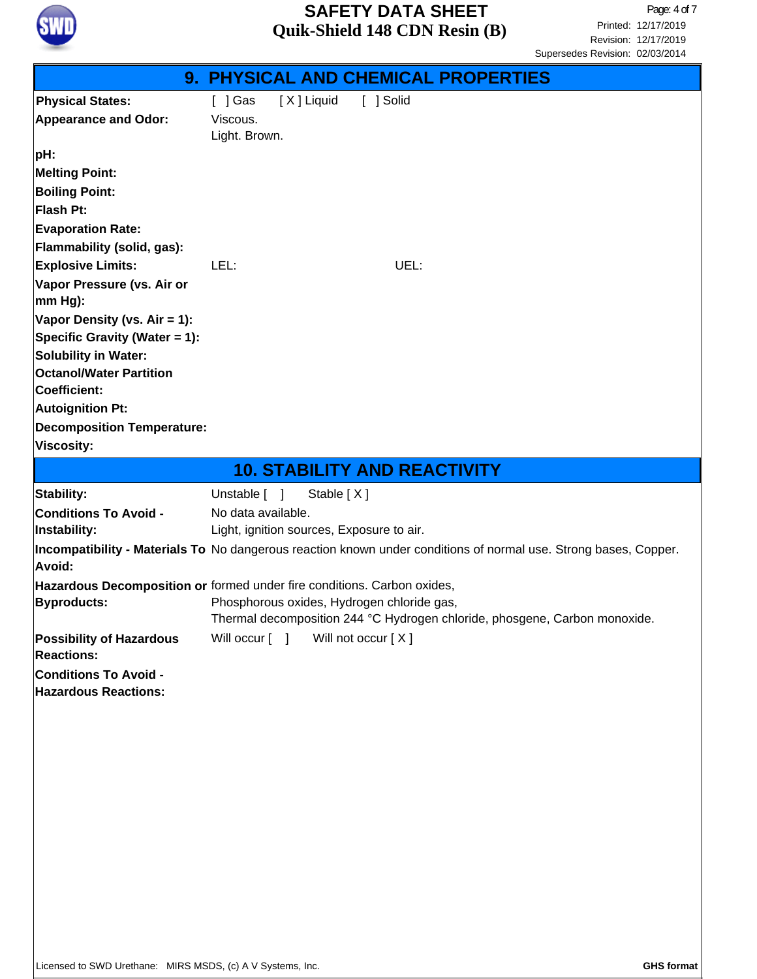

| [X] Liquid<br>$[$ ] Gas<br>[ ] Solid<br><b>Physical States:</b><br>Viscous.<br><b>Appearance and Odor:</b>                                                                                                                                                               |                                                                            |  |  |
|--------------------------------------------------------------------------------------------------------------------------------------------------------------------------------------------------------------------------------------------------------------------------|----------------------------------------------------------------------------|--|--|
| Light. Brown.                                                                                                                                                                                                                                                            |                                                                            |  |  |
| pH:<br><b>Melting Point:</b><br><b>Boiling Point:</b><br>Flash Pt:<br><b>Evaporation Rate:</b><br>Flammability (solid, gas):                                                                                                                                             |                                                                            |  |  |
| <b>Explosive Limits:</b><br>LEL:<br>UEL:<br>Vapor Pressure (vs. Air or<br>mm Hg):<br>Vapor Density (vs. $Air = 1$ ):<br>Specific Gravity (Water = 1):<br><b>Solubility in Water:</b><br><b>Octanol/Water Partition</b><br><b>Coefficient:</b><br><b>Autoignition Pt:</b> |                                                                            |  |  |
| <b>Decomposition Temperature:</b><br><b>Viscosity:</b>                                                                                                                                                                                                                   |                                                                            |  |  |
| <b>10. STABILITY AND REACTIVITY</b>                                                                                                                                                                                                                                      |                                                                            |  |  |
| Unstable [ ]<br>Stable [X]<br>Stability:                                                                                                                                                                                                                                 |                                                                            |  |  |
| <b>Conditions To Avoid -</b><br>No data available.<br>Light, ignition sources, Exposure to air.<br>Instability:                                                                                                                                                          |                                                                            |  |  |
| Incompatibility - Materials To No dangerous reaction known under conditions of normal use. Strong bases, Copper.<br>Avoid:                                                                                                                                               |                                                                            |  |  |
| Hazardous Decomposition or formed under fire conditions. Carbon oxides,<br>Phosphorous oxides, Hydrogen chloride gas,<br><b>Byproducts:</b>                                                                                                                              | Thermal decomposition 244 °C Hydrogen chloride, phosgene, Carbon monoxide. |  |  |
| Will occur [ ]<br>Will not occur [X]<br><b>Possibility of Hazardous</b><br><b>Reactions:</b>                                                                                                                                                                             |                                                                            |  |  |
| <b>Conditions To Avoid -</b><br><b>Hazardous Reactions:</b>                                                                                                                                                                                                              |                                                                            |  |  |
|                                                                                                                                                                                                                                                                          |                                                                            |  |  |
|                                                                                                                                                                                                                                                                          |                                                                            |  |  |
|                                                                                                                                                                                                                                                                          |                                                                            |  |  |
|                                                                                                                                                                                                                                                                          |                                                                            |  |  |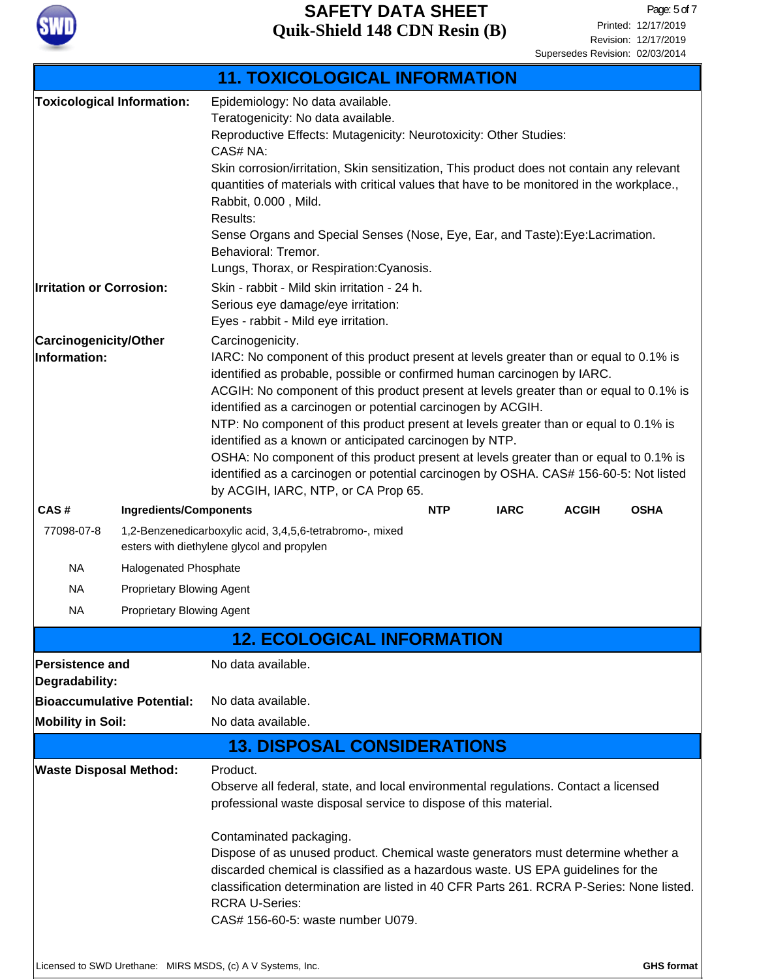

|                                                            |                                                                                                        | <b>11. TOXICOLOGICAL INFORMATION</b>                                                                                                                                                                                                                                                                                                                                                                                                                                                                                                                                                                                                                                                                                       |                             |  |  |  |
|------------------------------------------------------------|--------------------------------------------------------------------------------------------------------|----------------------------------------------------------------------------------------------------------------------------------------------------------------------------------------------------------------------------------------------------------------------------------------------------------------------------------------------------------------------------------------------------------------------------------------------------------------------------------------------------------------------------------------------------------------------------------------------------------------------------------------------------------------------------------------------------------------------------|-----------------------------|--|--|--|
|                                                            | <b>Toxicological Information:</b>                                                                      | Epidemiology: No data available.<br>Teratogenicity: No data available.<br>Reproductive Effects: Mutagenicity: Neurotoxicity: Other Studies:<br>CAS# NA:<br>Skin corrosion/irritation, Skin sensitization, This product does not contain any relevant<br>quantities of materials with critical values that have to be monitored in the workplace.,<br>Rabbit, 0.000, Mild.<br>Results:<br>Sense Organs and Special Senses (Nose, Eye, Ear, and Taste): Eye: Lacrimation.<br>Behavioral: Tremor.                                                                                                                                                                                                                             |                             |  |  |  |
| <b>Irritation or Corrosion:</b>                            |                                                                                                        | Lungs, Thorax, or Respiration: Cyanosis.<br>Skin - rabbit - Mild skin irritation - 24 h.<br>Serious eye damage/eye irritation:<br>Eyes - rabbit - Mild eye irritation.                                                                                                                                                                                                                                                                                                                                                                                                                                                                                                                                                     |                             |  |  |  |
| Carcinogenicity/Other<br>Information:                      |                                                                                                        | Carcinogenicity.<br>IARC: No component of this product present at levels greater than or equal to 0.1% is<br>identified as probable, possible or confirmed human carcinogen by IARC.<br>ACGIH: No component of this product present at levels greater than or equal to 0.1% is<br>identified as a carcinogen or potential carcinogen by ACGIH.<br>NTP: No component of this product present at levels greater than or equal to 0.1% is<br>identified as a known or anticipated carcinogen by NTP.<br>OSHA: No component of this product present at levels greater than or equal to 0.1% is<br>identified as a carcinogen or potential carcinogen by OSHA. CAS# 156-60-5: Not listed<br>by ACGIH, IARC, NTP, or CA Prop 65. |                             |  |  |  |
| CAS#                                                       | <b>Ingredients/Components</b>                                                                          | <b>IARC</b><br><b>NTP</b>                                                                                                                                                                                                                                                                                                                                                                                                                                                                                                                                                                                                                                                                                                  | <b>ACGIH</b><br><b>OSHA</b> |  |  |  |
| 77098-07-8                                                 | 1,2-Benzenedicarboxylic acid, 3,4,5,6-tetrabromo-, mixed<br>esters with diethylene glycol and propylen |                                                                                                                                                                                                                                                                                                                                                                                                                                                                                                                                                                                                                                                                                                                            |                             |  |  |  |
| <b>NA</b>                                                  | Halogenated Phosphate                                                                                  |                                                                                                                                                                                                                                                                                                                                                                                                                                                                                                                                                                                                                                                                                                                            |                             |  |  |  |
| <b>NA</b>                                                  | Proprietary Blowing Agent                                                                              |                                                                                                                                                                                                                                                                                                                                                                                                                                                                                                                                                                                                                                                                                                                            |                             |  |  |  |
| <b>NA</b>                                                  | Proprietary Blowing Agent                                                                              |                                                                                                                                                                                                                                                                                                                                                                                                                                                                                                                                                                                                                                                                                                                            |                             |  |  |  |
|                                                            |                                                                                                        | <b>12. ECOLOGICAL INFORMATION</b>                                                                                                                                                                                                                                                                                                                                                                                                                                                                                                                                                                                                                                                                                          |                             |  |  |  |
| <b>Persistence and</b><br>Degradability:                   |                                                                                                        | No data available.                                                                                                                                                                                                                                                                                                                                                                                                                                                                                                                                                                                                                                                                                                         |                             |  |  |  |
|                                                            | Bioaccumulative Potential:                                                                             | No data available.                                                                                                                                                                                                                                                                                                                                                                                                                                                                                                                                                                                                                                                                                                         |                             |  |  |  |
| <b>Mobility in Soil:</b>                                   |                                                                                                        | No data available.                                                                                                                                                                                                                                                                                                                                                                                                                                                                                                                                                                                                                                                                                                         |                             |  |  |  |
|                                                            |                                                                                                        | <b>13. DISPOSAL CONSIDERATIONS</b>                                                                                                                                                                                                                                                                                                                                                                                                                                                                                                                                                                                                                                                                                         |                             |  |  |  |
| <b>Waste Disposal Method:</b>                              |                                                                                                        | Product.<br>Observe all federal, state, and local environmental regulations. Contact a licensed<br>professional waste disposal service to dispose of this material.                                                                                                                                                                                                                                                                                                                                                                                                                                                                                                                                                        |                             |  |  |  |
|                                                            |                                                                                                        | Contaminated packaging.<br>Dispose of as unused product. Chemical waste generators must determine whether a<br>discarded chemical is classified as a hazardous waste. US EPA guidelines for the<br>classification determination are listed in 40 CFR Parts 261, RCRA P-Series: None listed.<br><b>RCRA U-Series:</b><br>CAS# 156-60-5: waste number U079.                                                                                                                                                                                                                                                                                                                                                                  |                             |  |  |  |
| Licensed to SWD Urethane: MIRS MSDS, (c) A V Systems, Inc. |                                                                                                        |                                                                                                                                                                                                                                                                                                                                                                                                                                                                                                                                                                                                                                                                                                                            | <b>GHS format</b>           |  |  |  |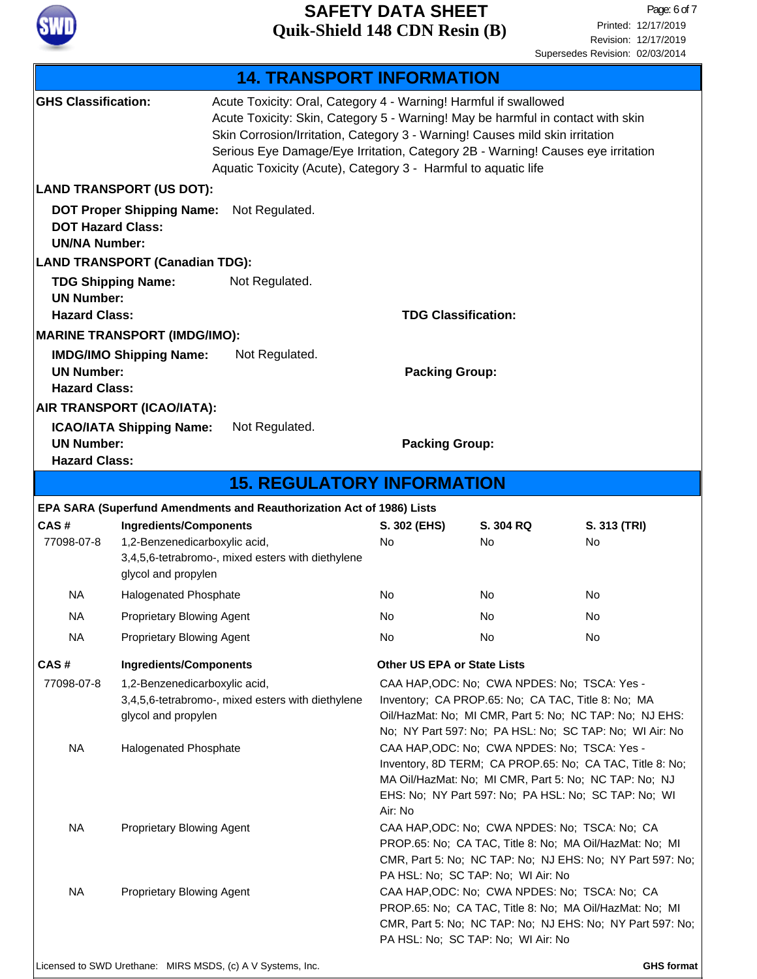

Revision: 12/17/2019 Printed: 12/17/2019 Page: 6 of 7 Supersedes Revision: 02/03/2014

| <b>14. TRANSPORT INFORMATION</b>                                                                                                                                                                                                                                                                                                                                                                                       |                                                                                                                                            |                                                                       |                                                                                                                                                                                                                                      |                 |                    |
|------------------------------------------------------------------------------------------------------------------------------------------------------------------------------------------------------------------------------------------------------------------------------------------------------------------------------------------------------------------------------------------------------------------------|--------------------------------------------------------------------------------------------------------------------------------------------|-----------------------------------------------------------------------|--------------------------------------------------------------------------------------------------------------------------------------------------------------------------------------------------------------------------------------|-----------------|--------------------|
| Acute Toxicity: Oral, Category 4 - Warning! Harmful if swallowed<br><b>GHS Classification:</b><br>Acute Toxicity: Skin, Category 5 - Warning! May be harmful in contact with skin<br>Skin Corrosion/Irritation, Category 3 - Warning! Causes mild skin irritation<br>Serious Eye Damage/Eye Irritation, Category 2B - Warning! Causes eye irritation<br>Aquatic Toxicity (Acute), Category 3 - Harmful to aquatic life |                                                                                                                                            |                                                                       |                                                                                                                                                                                                                                      |                 |                    |
|                                                                                                                                                                                                                                                                                                                                                                                                                        | <b>LAND TRANSPORT (US DOT):</b>                                                                                                            |                                                                       |                                                                                                                                                                                                                                      |                 |                    |
| <b>DOT Hazard Class:</b><br><b>UN/NA Number:</b>                                                                                                                                                                                                                                                                                                                                                                       | <b>DOT Proper Shipping Name:</b>                                                                                                           | Not Regulated.                                                        |                                                                                                                                                                                                                                      |                 |                    |
|                                                                                                                                                                                                                                                                                                                                                                                                                        | <b>LAND TRANSPORT (Canadian TDG):</b>                                                                                                      |                                                                       |                                                                                                                                                                                                                                      |                 |                    |
| <b>UN Number:</b><br><b>Hazard Class:</b>                                                                                                                                                                                                                                                                                                                                                                              | <b>TDG Shipping Name:</b>                                                                                                                  | Not Regulated.                                                        | <b>TDG Classification:</b>                                                                                                                                                                                                           |                 |                    |
|                                                                                                                                                                                                                                                                                                                                                                                                                        | <b>MARINE TRANSPORT (IMDG/IMO):</b>                                                                                                        |                                                                       |                                                                                                                                                                                                                                      |                 |                    |
| <b>UN Number:</b><br><b>Hazard Class:</b>                                                                                                                                                                                                                                                                                                                                                                              | <b>IMDG/IMO Shipping Name:</b>                                                                                                             | Not Regulated.                                                        | <b>Packing Group:</b>                                                                                                                                                                                                                |                 |                    |
| <b>UN Number:</b><br><b>Hazard Class:</b>                                                                                                                                                                                                                                                                                                                                                                              | AIR TRANSPORT (ICAO/IATA):<br><b>ICAO/IATA Shipping Name:</b>                                                                              | Not Regulated.                                                        | <b>Packing Group:</b>                                                                                                                                                                                                                |                 |                    |
|                                                                                                                                                                                                                                                                                                                                                                                                                        |                                                                                                                                            | <b>15. REGULATORY INFORMATION</b>                                     |                                                                                                                                                                                                                                      |                 |                    |
|                                                                                                                                                                                                                                                                                                                                                                                                                        |                                                                                                                                            | EPA SARA (Superfund Amendments and Reauthorization Act of 1986) Lists |                                                                                                                                                                                                                                      |                 |                    |
| CAS#<br>77098-07-8                                                                                                                                                                                                                                                                                                                                                                                                     | <b>Ingredients/Components</b><br>1,2-Benzenedicarboxylic acid,<br>3,4,5,6-tetrabromo-, mixed esters with diethylene<br>glycol and propylen |                                                                       | S. 302 (EHS)<br><b>No</b>                                                                                                                                                                                                            | S. 304 RQ<br>No | S. 313 (TRI)<br>No |
| <b>NA</b>                                                                                                                                                                                                                                                                                                                                                                                                              | <b>Halogenated Phosphate</b>                                                                                                               |                                                                       | No                                                                                                                                                                                                                                   | No              | No                 |
| ΝA                                                                                                                                                                                                                                                                                                                                                                                                                     | <b>Proprietary Blowing Agent</b>                                                                                                           |                                                                       | No                                                                                                                                                                                                                                   | No              | No                 |
| NA                                                                                                                                                                                                                                                                                                                                                                                                                     | Proprietary Blowing Agent                                                                                                                  |                                                                       | No.                                                                                                                                                                                                                                  | No              | No                 |
| CAS#                                                                                                                                                                                                                                                                                                                                                                                                                   | <b>Ingredients/Components</b>                                                                                                              |                                                                       | <b>Other US EPA or State Lists</b>                                                                                                                                                                                                   |                 |                    |
| 77098-07-8                                                                                                                                                                                                                                                                                                                                                                                                             | 1,2-Benzenedicarboxylic acid,<br>3,4,5,6-tetrabromo-, mixed esters with diethylene<br>glycol and propylen                                  |                                                                       | CAA HAP, ODC: No; CWA NPDES: No; TSCA: Yes -<br>Inventory; CA PROP.65: No; CA TAC, Title 8: No; MA<br>Oil/HazMat: No; MI CMR, Part 5: No; NC TAP: No; NJ EHS:<br>No; NY Part 597: No; PA HSL: No; SC TAP: No; WI Air: No             |                 |                    |
| <b>NA</b>                                                                                                                                                                                                                                                                                                                                                                                                              | Halogenated Phosphate                                                                                                                      |                                                                       | CAA HAP, ODC: No; CWA NPDES: No; TSCA: Yes -<br>Inventory, 8D TERM; CA PROP.65: No; CA TAC, Title 8: No;<br>MA Oil/HazMat: No; MI CMR, Part 5: No; NC TAP: No; NJ<br>EHS: No; NY Part 597: No; PA HSL: No; SC TAP: No; WI<br>Air: No |                 |                    |
| NA                                                                                                                                                                                                                                                                                                                                                                                                                     | <b>Proprietary Blowing Agent</b>                                                                                                           |                                                                       | CAA HAP, ODC: No; CWA NPDES: No; TSCA: No; CA<br>PROP.65: No; CA TAC, Title 8: No; MA Oil/HazMat: No; MI<br>CMR, Part 5: No; NC TAP: No; NJ EHS: No; NY Part 597: No;<br>PA HSL: No; SC TAP: No; WI Air: No                          |                 |                    |
| <b>NA</b>                                                                                                                                                                                                                                                                                                                                                                                                              | Proprietary Blowing Agent                                                                                                                  |                                                                       | CAA HAP, ODC: No; CWA NPDES: No; TSCA: No; CA<br>PROP.65: No; CA TAC, Title 8: No; MA Oil/HazMat: No; MI<br>CMR, Part 5: No; NC TAP: No; NJ EHS: No; NY Part 597: No;<br>PA HSL: No; SC TAP: No; WI Air: No                          |                 |                    |
|                                                                                                                                                                                                                                                                                                                                                                                                                        | Licensed to SWD Urethane: MIRS MSDS, (c) A V Systems, Inc.                                                                                 |                                                                       |                                                                                                                                                                                                                                      |                 | <b>GHS format</b>  |